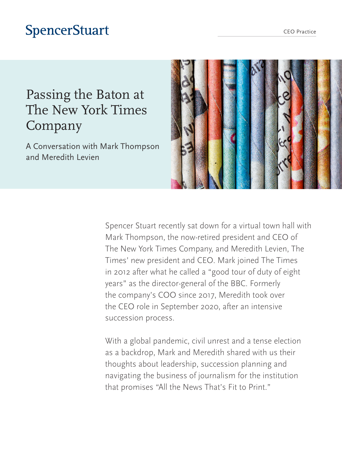# **SpencerStuart**

# Passing the Baton at The New York Times Company

A Conversation with Mark Thompson and Meredith Levien



Spencer Stuart recently sat down for a virtual town hall with Mark Thompson, the now-retired president and CEO of The New York Times Company, and Meredith Levien, The Times' new president and CEO. Mark joined The Times in 2012 after what he called a "good tour of duty of eight years" as the director-general of the BBC. Formerly the company's COO since 2017, Meredith took over the CEO role in September 2020, after an intensive succession process.

With a global pandemic, civil unrest and a tense election as a backdrop, Mark and Meredith shared with us their thoughts about leadership, succession planning and navigating the business of journalism for the institution that promises "All the News That's Fit to Print."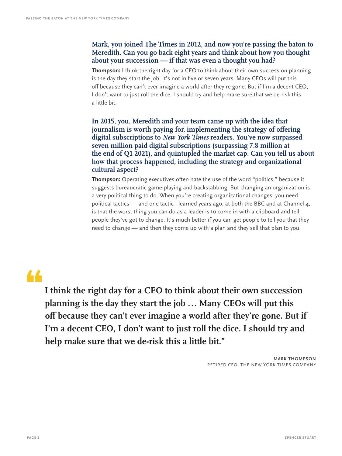### **Mark, you joined The Times in 2012, and now you're passing the baton to Meredith. Can you go back eight years and think about how you thought about your succession — if that was even a thought you had?**

**Thompson:** I think the right day for a CEO to think about their own succession planning is the day they start the job. It's not in five or seven years. Many CEOs will put this off because they can't ever imagine a world after they're gone. But if I'm a decent CEO, I don't want to just roll the dice. I should try and help make sure that we de-risk this a little bit.

**In 2015, you, Meredith and your team came up with the idea that journalism is worth paying for, implementing the strategy of offering digital subscriptions to** *New York Times* **readers. You've now surpassed seven million paid digital subscriptions (surpassing 7.8 million at the end of Q1 2021), and quintupled the market cap. Can you tell us about how that process happened, including the strategy and organizational cultural aspect?**

**Thompson:** Operating executives often hate the use of the word "politics," because it suggests bureaucratic game-playing and backstabbing. But changing an organization is a very political thing to do. When you're creating organizational changes, you need political tactics — and one tactic I learned years ago, at both the BBC and at Channel 4, is that the worst thing you can do as a leader is to come in with a clipboard and tell people they've got to change. It's much better if you can get people to tell you that they need to change — and then they come up with a plan and they sell that plan to you.

# •

**I think the right day for a CEO to think about their own succession planning is the day they start the job ... Many CEOs will put this off because they can't ever imagine a world after they're gone. But if I'm a decent CEO, I don't want to just roll the dice. I should try and help make sure that we de-risk this a little bit."**

> **MARK THOMPSON** RETIRED CEO, THE NEW YORK TIMES COMPANY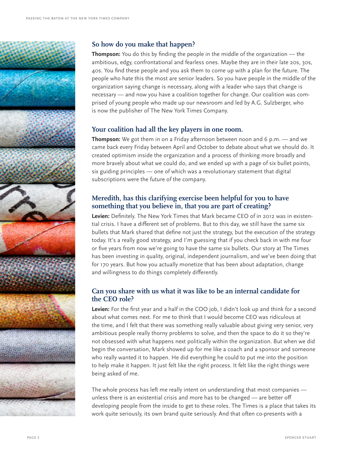

### **So how do you make that happen?**

**Thompson:** You do this by finding the people in the middle of the organization — the ambitious, edgy, confrontational and fearless ones. Maybe they are in their late 20s, 30s, 40s. You find these people and you ask them to come up with a plan for the future. The people who hate this the most are senior leaders. So you have people in the middle of the organization saying change is necessary, along with a leader who says that change is necessary — and now you have a coalition together for change. Our coalition was comprised of young people who made up our newsroom and led by A.G. Sulzberger, who is now the publisher of The New York Times Company.

### **Your coalition had all the key players in one room.**

**Thompson:** We got them in on a Friday afternoon between noon and 6 p.m. — and we came back every Friday between April and October to debate about what we should do. It created optimism inside the organization and a process of thinking more broadly and more bravely about what we could do, and we ended up with a page of six bullet points, six guiding principles — one of which was a revolutionary statement that digital subscriptions were the future of the company.

## **Meredith, has this clarifying exercise been helpful for you to have something that you believe in, that you are part of creating?**

**Levien:** Definitely. The New York Times that Mark became CEO of in 2012 was in existential crisis. I have a different set of problems. But to this day, we still have the same six bullets that Mark shared that define not just the strategy, but the execution of the strategy today. It's a really good strategy, and I'm guessing that if you check back in with me four or five years from now we're going to have the same six bullets. Our story at The Times has been investing in quality, original, independent journalism, and we've been doing that for 170 years. But how you actually monetize that has been about adaptation, change and willingness to do things completely differently.

### **Can you share with us what it was like to be an internal candidate for the CEO role?**

**Levien:** For the first year and a half in the COO job, I didn't look up and think for a second about what comes next. For me to think that I would become CEO was ridiculous at the time, and I felt that there was something really valuable about giving very senior, very ambitious people really thorny problems to solve, and then the space to do it so they're not obsessed with what happens next politically within the organization. But when we did begin the conversation, Mark showed up for me like a coach and a sponsor and someone who really wanted it to happen. He did everything he could to put me into the position to help make it happen. It just felt like the right process. It felt like the right things were being asked of me.

The whole process has left me really intent on understanding that most companies unless there is an existential crisis and more has to be changed — are better off developing people from the inside to get to these roles. The Times is a place that takes its work quite seriously, its own brand quite seriously. And that often co-presents with a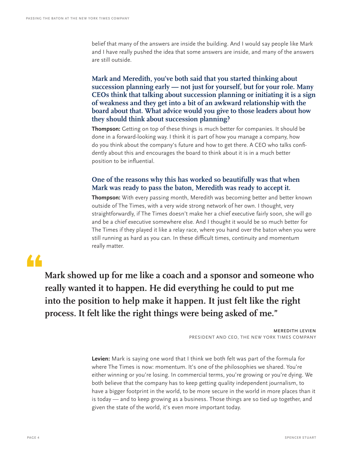belief that many of the answers are inside the building. And I would say people like Mark and I have really pushed the idea that some answers are inside, and many of the answers are still outside.

**Mark and Meredith, you've both said that you started thinking about succession planning early — not just for yourself, but for your role. Many CEOs think that talking about succession planning or initiating it is a sign of weakness and they get into a bit of an awkward relationship with the board about that. What advice would you give to those leaders about how they should think about succession planning?** 

**Thompson:** Getting on top of these things is much better for companies. It should be done in a forward-looking way. I think it is part of how you manage a company, how do you think about the company's future and how to get there. A CEO who talks confidently about this and encourages the board to think about it is in a much better position to be influential.

#### **One of the reasons why this has worked so beautifully was that when Mark was ready to pass the baton, Meredith was ready to accept it.**

**Thompson:** With every passing month, Meredith was becoming better and better known outside of The Times, with a very wide strong network of her own. I thought, very straightforwardly, if The Times doesn't make her a chief executive fairly soon, she will go and be a chief executive somewhere else. And I thought it would be so much better for The Times if they played it like a relay race, where you hand over the baton when you were still running as hard as you can. In these difficult times, continuity and momentum really matter.

# •

**Mark showed up for me like a coach and a sponsor and someone who really wanted it to happen. He did everything he could to put me into the position to help make it happen. It just felt like the right process. It felt like the right things were being asked of me."**

> **MEREDITH LEVIEN** PRESIDENT AND CEO, THE NEW YORK TIMES COMPANY

**Levien:** Mark is saying one word that I think we both felt was part of the formula for where The Times is now: momentum. It's one of the philosophies we shared. You're either winning or you're losing. In commercial terms, you're growing or you're dying. We both believe that the company has to keep getting quality independent journalism, to have a bigger footprint in the world, to be more secure in the world in more places than it is today — and to keep growing as a business. Those things are so tied up together, and given the state of the world, it's even more important today.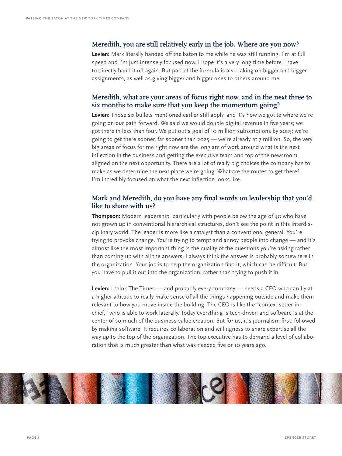#### **Meredith, you are still relatively early in the job. Where are you now?**

**Levien:** Mark literally handed off the baton to me while he was still running. I'm at full speed and I'm just intensely focused now. I hope it's a very long time before I have to directly hand it off again. But part of the formula is also taking on bigger and bigger assignments, as well as giving bigger and bigger ones to others around me.

#### **Meredith, what are your areas of focus right now, and in the next three to six months to make sure that you keep the momentum going?**

**Levien:** Those six bullets mentioned earlier still apply, and it's how we got to where we're going on our path forward. We said we would double digital revenue in five years; we got there in less than four. We put out a goal of 10 million subscriptions by 2025; we're going to get there sooner, far sooner than 2025 — we're already at 7 million. So, the very big areas of focus for me right now are the long arc of work around what is the next inflection in the business and getting the executive team and top of the newsroom aligned on the next opportunity. There are a lot of really big choices the company has to make as we determine the next place we're going. What are the routes to get there? I'm incredibly focused on what the next inflection looks like.

#### **Mark and Meredith, do you have any final words on leadership that you'd like to share with us?**

**Thompson:** Modern leadership, particularly with people below the age of 40 who have not grown up in conventional hierarchical structures, don't see the point in this interdisciplinary world. The leader is more like a catalyst than a conventional general. You're trying to provoke change. You're trying to tempt and annoy people into change — and it's almost like the most important thing is the quality of the questions you're asking rather than coming up with all the answers. I always think the answer is probably somewhere in the organization. Your job is to help the organization find it, which can be difficult. But you have to pull it out into the organization, rather than trying to push it in.

**Levien:** I think The Times — and probably every company — needs a CEO who can fly at a higher altitude to really make sense of all the things happening outside and make them relevant to how you move inside the building. The CEO is like the "context-setter-inchief," who is able to work laterally. Today everything is tech-driven and software is at the center of so much of the business value creation. But for us, it's journalism first, followed by making software. It requires collaboration and willingness to share expertise all the way up to the top of the organization. The top executive has to demand a level of collaboration that is much greater than what was needed five or 10 years ago.